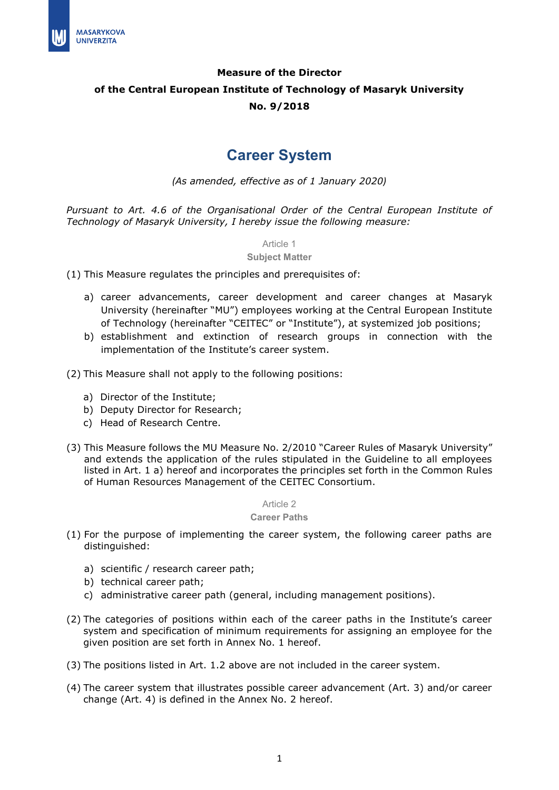

# **Measure of the Director of the Central European Institute of Technology of Masaryk University No. 9/2018**

# **Career System**

*(As amended, effective as of 1 January 2020)*

*Pursuant to Art. 4.6 of the Organisational Order of the Central European Institute of Technology of Masaryk University, I hereby issue the following measure:*

Article 1

**Subject Matter**

(1) This Measure regulates the principles and prerequisites of:

- a) career advancements, career development and career changes at Masaryk University (hereinafter "MU") employees working at the Central European Institute of Technology (hereinafter "CEITEC" or "Institute"), at systemized job positions;
- b) establishment and extinction of research groups in connection with the implementation of the Institute's career system.
- (2) This Measure shall not apply to the following positions:
	- a) Director of the Institute;
	- b) Deputy Director for Research;
	- c) Head of Research Centre.
- (3) This Measure follows the MU Measure No. 2/2010 "Career Rules of Masaryk University" and extends the application of the rules stipulated in the Guideline to all employees listed in Art. 1 a) hereof and incorporates the principles set forth in the Common Rules of Human Resources Management of the CEITEC Consortium.

Article 2

#### **Career Paths**

- (1) For the purpose of implementing the career system, the following career paths are distinguished:
	- a) scientific / research career path;
	- b) technical career path;
	- c) administrative career path (general, including management positions).
- (2) The categories of positions within each of the career paths in the Institute's career system and specification of minimum requirements for assigning an employee for the given position are set forth in Annex No. 1 hereof.
- (3) The positions listed in Art. 1.2 above are not included in the career system.
- (4) The career system that illustrates possible career advancement (Art. 3) and/or career change (Art. 4) is defined in the Annex No. 2 hereof.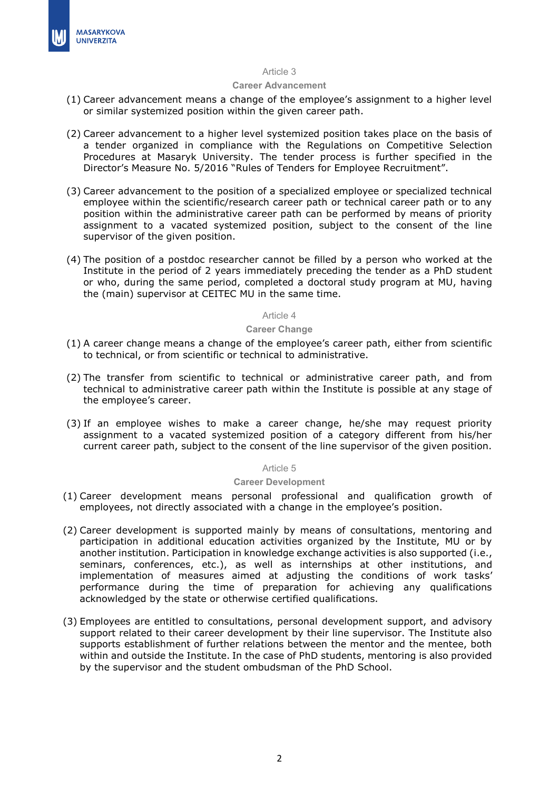

#### Article 3

#### **Career Advancement**

- (1) Career advancement means a change of the employee's assignment to a higher level or similar systemized position within the given career path.
- (2) Career advancement to a higher level systemized position takes place on the basis of a tender organized in compliance with the Regulations on Competitive Selection Procedures at Masaryk University. The tender process is further specified in the Director's Measure No. 5/2016 "Rules of Tenders for Employee Recruitment".
- (3) Career advancement to the position of a specialized employee or specialized technical employee within the scientific/research career path or technical career path or to any position within the administrative career path can be performed by means of priority assignment to a vacated systemized position, subject to the consent of the line supervisor of the given position.
- (4) The position of a postdoc researcher cannot be filled by a person who worked at the Institute in the period of 2 years immediately preceding the tender as a PhD student or who, during the same period, completed a doctoral study program at MU, having the (main) supervisor at CEITEC MU in the same time.

### Article 4

#### **Career Change**

- (1) A career change means a change of the employee's career path, either from scientific to technical, or from scientific or technical to administrative.
- (2) The transfer from scientific to technical or administrative career path, and from technical to administrative career path within the Institute is possible at any stage of the employee's career.
- (3) If an employee wishes to make a career change, he/she may request priority assignment to a vacated systemized position of a category different from his/her current career path, subject to the consent of the line supervisor of the given position.

#### Article 5

#### **Career Development**

- (1) Career development means personal professional and qualification growth of employees, not directly associated with a change in the employee's position.
- (2) Career development is supported mainly by means of consultations, mentoring and participation in additional education activities organized by the Institute, MU or by another institution. Participation in knowledge exchange activities is also supported (i.e., seminars, conferences, etc.), as well as internships at other institutions, and implementation of measures aimed at adjusting the conditions of work tasks' performance during the time of preparation for achieving any qualifications acknowledged by the state or otherwise certified qualifications.
- (3) Employees are entitled to consultations, personal development support, and advisory support related to their career development by their line supervisor. The Institute also supports establishment of further relations between the mentor and the mentee, both within and outside the Institute. In the case of PhD students, mentoring is also provided by the supervisor and the student ombudsman of the PhD School.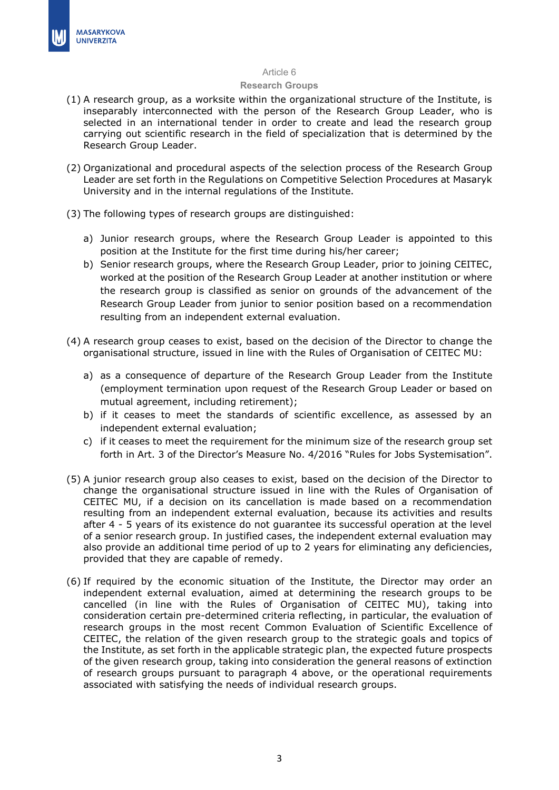#### Article 6

#### **Research Groups**

- (1) A research group, as a worksite within the organizational structure of the Institute, is inseparably interconnected with the person of the Research Group Leader, who is selected in an international tender in order to create and lead the research group carrying out scientific research in the field of specialization that is determined by the Research Group Leader.
- (2) Organizational and procedural aspects of the selection process of the Research Group Leader are set forth in the Regulations on Competitive Selection Procedures at Masaryk University and in the internal regulations of the Institute.
- (3) The following types of research groups are distinguished:
	- a) Junior research groups, where the Research Group Leader is appointed to this position at the Institute for the first time during his/her career;
	- b) Senior research groups, where the Research Group Leader, prior to joining CEITEC, worked at the position of the Research Group Leader at another institution or where the research group is classified as senior on grounds of the advancement of the Research Group Leader from junior to senior position based on a recommendation resulting from an independent external evaluation.
- (4) A research group ceases to exist, based on the decision of the Director to change the organisational structure, issued in line with the Rules of Organisation of CEITEC MU:
	- a) as a consequence of departure of the Research Group Leader from the Institute (employment termination upon request of the Research Group Leader or based on mutual agreement, including retirement);
	- b) if it ceases to meet the standards of scientific excellence, as assessed by an independent external evaluation;
	- c) if it ceases to meet the requirement for the minimum size of the research group set forth in Art. 3 of the Director's Measure No. 4/2016 "Rules for Jobs Systemisation".
- (5) A junior research group also ceases to exist, based on the decision of the Director to change the organisational structure issued in line with the Rules of Organisation of CEITEC MU, if a decision on its cancellation is made based on a recommendation resulting from an independent external evaluation, because its activities and results after 4 - 5 years of its existence do not guarantee its successful operation at the level of a senior research group. In justified cases, the independent external evaluation may also provide an additional time period of up to 2 years for eliminating any deficiencies, provided that they are capable of remedy.
- (6) If required by the economic situation of the Institute, the Director may order an independent external evaluation, aimed at determining the research groups to be cancelled (in line with the Rules of Organisation of CEITEC MU), taking into consideration certain pre-determined criteria reflecting, in particular, the evaluation of research groups in the most recent Common Evaluation of Scientific Excellence of CEITEC, the relation of the given research group to the strategic goals and topics of the Institute, as set forth in the applicable strategic plan, the expected future prospects of the given research group, taking into consideration the general reasons of extinction of research groups pursuant to paragraph 4 above, or the operational requirements associated with satisfying the needs of individual research groups.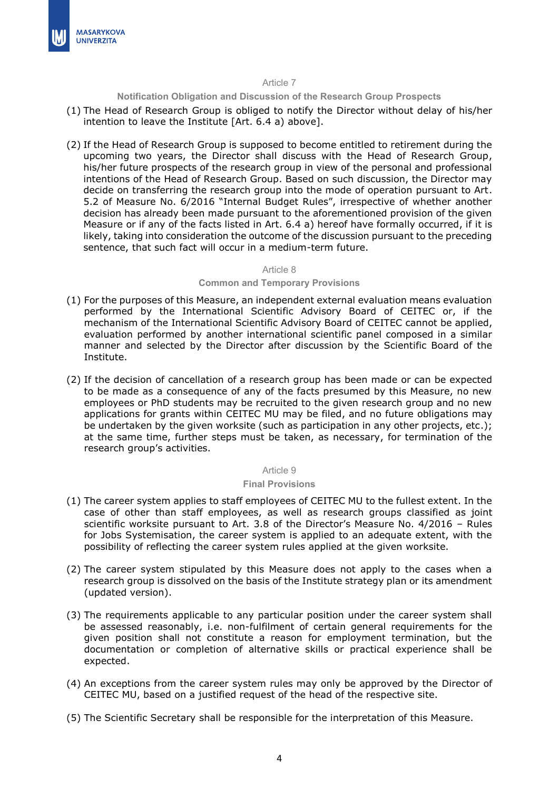

### Article 7

**Notification Obligation and Discussion of the Research Group Prospects**

- (1) The Head of Research Group is obliged to notify the Director without delay of his/her intention to leave the Institute [Art. 6.4 a) above].
- (2) If the Head of Research Group is supposed to become entitled to retirement during the upcoming two years, the Director shall discuss with the Head of Research Group, his/her future prospects of the research group in view of the personal and professional intentions of the Head of Research Group. Based on such discussion, the Director may decide on transferring the research group into the mode of operation pursuant to Art. 5.2 of Measure No. 6/2016 "Internal Budget Rules", irrespective of whether another decision has already been made pursuant to the aforementioned provision of the given Measure or if any of the facts listed in Art. 6.4 a) hereof have formally occurred, if it is likely, taking into consideration the outcome of the discussion pursuant to the preceding sentence, that such fact will occur in a medium-term future.

#### Article 8

## **Common and Temporary Provisions**

- (1) For the purposes of this Measure, an independent external evaluation means evaluation performed by the International Scientific Advisory Board of CEITEC or, if the mechanism of the International Scientific Advisory Board of CEITEC cannot be applied, evaluation performed by another international scientific panel composed in a similar manner and selected by the Director after discussion by the Scientific Board of the Institute.
- (2) If the decision of cancellation of a research group has been made or can be expected to be made as a consequence of any of the facts presumed by this Measure, no new employees or PhD students may be recruited to the given research group and no new applications for grants within CEITEC MU may be filed, and no future obligations may be undertaken by the given worksite (such as participation in any other projects, etc.); at the same time, further steps must be taken, as necessary, for termination of the research group's activities.

### Article 9

## **Final Provisions**

- (1) The career system applies to staff employees of CEITEC MU to the fullest extent. In the case of other than staff employees, as well as research groups classified as joint scientific worksite pursuant to Art. 3.8 of the Director's Measure No. 4/2016 – Rules for Jobs Systemisation, the career system is applied to an adequate extent, with the possibility of reflecting the career system rules applied at the given worksite.
- (2) The career system stipulated by this Measure does not apply to the cases when a research group is dissolved on the basis of the Institute strategy plan or its amendment (updated version).
- (3) The requirements applicable to any particular position under the career system shall be assessed reasonably, i.e. non-fulfilment of certain general requirements for the given position shall not constitute a reason for employment termination, but the documentation or completion of alternative skills or practical experience shall be expected.
- (4) An exceptions from the career system rules may only be approved by the Director of CEITEC MU, based on a justified request of the head of the respective site.
- (5) The Scientific Secretary shall be responsible for the interpretation of this Measure.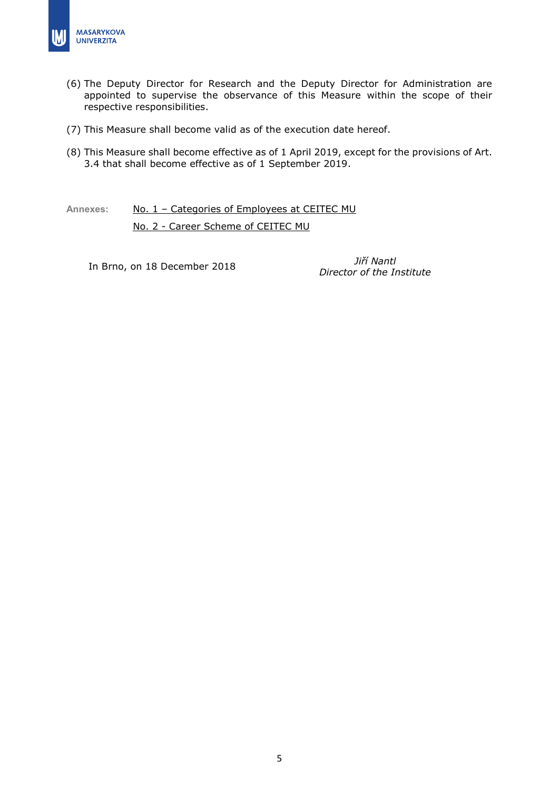

- (6) The Deputy Director for Research and the Deputy Director for Administration are appointed to supervise the observance of this Measure within the scope of their respective responsibilities.
- (7) This Measure shall become valid as of the execution date hereof.
- (8) This Measure shall become effective as of 1 April 2019, except for the provisions of Art. 3.4 that shall become effective as of 1 September 2019.

Annexes: No. 1 - Categories of Employees at CEITEC MU

No. 2 - Career Scheme of CEITEC MU

In Brno, on 18 December <sup>2018</sup> *Jiří Nantl*

*Director of the Institute*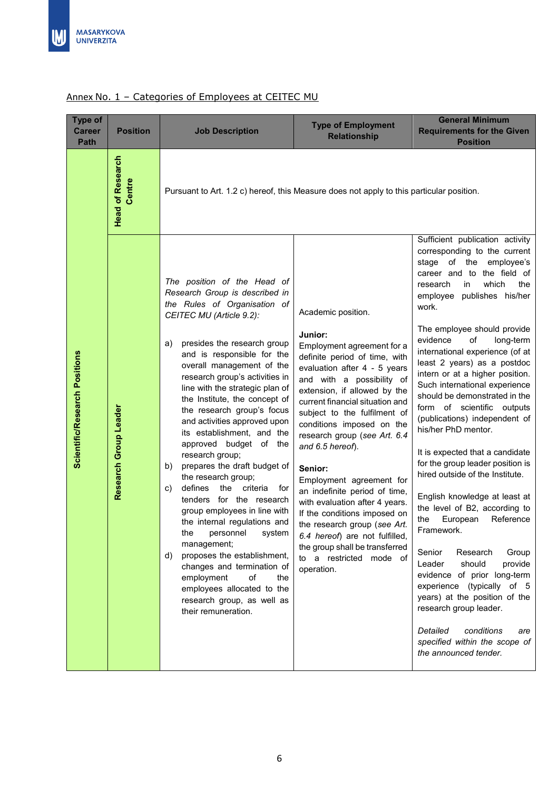| Type of<br><b>Career</b><br><b>Path</b> | <b>Position</b>                   | <b>Job Description</b>                                                                                                                                                                                                                                                                                                                                                                                                                                                                                                                                                                                                                                                                                                                                                                                                                                                                            | <b>Type of Employment</b><br><b>Relationship</b>                                                                                                                                                                                                                                                                                                                                                                                                                                                                                                                                                                                        | <b>General Minimum</b><br><b>Requirements for the Given</b><br><b>Position</b>                                                                                                                                                                                                                                                                                                                                                                                                                                                                                                                                                                                                                                                                                                                                                                                                                                                                                                                                                          |
|-----------------------------------------|-----------------------------------|---------------------------------------------------------------------------------------------------------------------------------------------------------------------------------------------------------------------------------------------------------------------------------------------------------------------------------------------------------------------------------------------------------------------------------------------------------------------------------------------------------------------------------------------------------------------------------------------------------------------------------------------------------------------------------------------------------------------------------------------------------------------------------------------------------------------------------------------------------------------------------------------------|-----------------------------------------------------------------------------------------------------------------------------------------------------------------------------------------------------------------------------------------------------------------------------------------------------------------------------------------------------------------------------------------------------------------------------------------------------------------------------------------------------------------------------------------------------------------------------------------------------------------------------------------|-----------------------------------------------------------------------------------------------------------------------------------------------------------------------------------------------------------------------------------------------------------------------------------------------------------------------------------------------------------------------------------------------------------------------------------------------------------------------------------------------------------------------------------------------------------------------------------------------------------------------------------------------------------------------------------------------------------------------------------------------------------------------------------------------------------------------------------------------------------------------------------------------------------------------------------------------------------------------------------------------------------------------------------------|
|                                         | <b>Head of Research</b><br>Centre | Pursuant to Art. 1.2 c) hereof, this Measure does not apply to this particular position.                                                                                                                                                                                                                                                                                                                                                                                                                                                                                                                                                                                                                                                                                                                                                                                                          |                                                                                                                                                                                                                                                                                                                                                                                                                                                                                                                                                                                                                                         |                                                                                                                                                                                                                                                                                                                                                                                                                                                                                                                                                                                                                                                                                                                                                                                                                                                                                                                                                                                                                                         |
| Scientific/Research Positions           | Research Group Leader             | The position of the Head of<br>Research Group is described in<br>the Rules of Organisation of<br>CEITEC MU (Article 9.2):<br>presides the research group<br>a)<br>and is responsible for the<br>overall management of the<br>research group's activities in<br>line with the strategic plan of<br>the Institute, the concept of<br>the research group's focus<br>and activities approved upon<br>its establishment, and the<br>approved budget of the<br>research group;<br>prepares the draft budget of<br>b)<br>the research group;<br>defines<br>the criteria<br>for<br>C)<br>tenders for the research<br>group employees in line with<br>the internal regulations and<br>the personnel system<br>management;<br>proposes the establishment,<br>d)<br>changes and termination of<br>employment<br>of<br>the<br>employees allocated to the<br>research group, as well as<br>their remuneration. | Academic position.<br>Junior:<br>Employment agreement for a<br>definite period of time, with<br>evaluation after 4 - 5 years<br>and with a possibility of<br>extension, if allowed by the<br>current financial situation and<br>subject to the fulfilment of<br>conditions imposed on the<br>research group (see Art. 6.4<br>and 6.5 hereof).<br>Senior:<br>Employment agreement for<br>an indefinite period of time,<br>with evaluation after 4 years.<br>If the conditions imposed on<br>the research group (see Art.<br>6.4 hereof) are not fulfilled,<br>the group shall be transferred<br>a restricted mode of<br>to<br>operation. | Sufficient publication activity<br>corresponding to the current<br>stage of the employee's<br>career and to the field of<br>which<br>research<br>in<br>the<br>employee publishes his/her<br>work.<br>The employee should provide<br>evidence<br>of<br>long-term<br>international experience (of at<br>least 2 years) as a postdoc<br>intern or at a higher position.<br>Such international experience<br>should be demonstrated in the<br>form of scientific outputs<br>(publications) independent of<br>his/her PhD mentor.<br>It is expected that a candidate<br>for the group leader position is<br>hired outside of the Institute.<br>English knowledge at least at<br>the level of B2, according to<br>European<br>Reference<br>the<br>Framework.<br>Senior<br>Research<br>Group<br>Leader<br>should<br>provide<br>evidence of prior long-term<br>experience (typically of 5<br>years) at the position of the<br>research group leader.<br>Detailed<br>conditions<br>are<br>specified within the scope of<br>the announced tender. |

# Annex No. 1 - Categories of Employees at CEITEC MU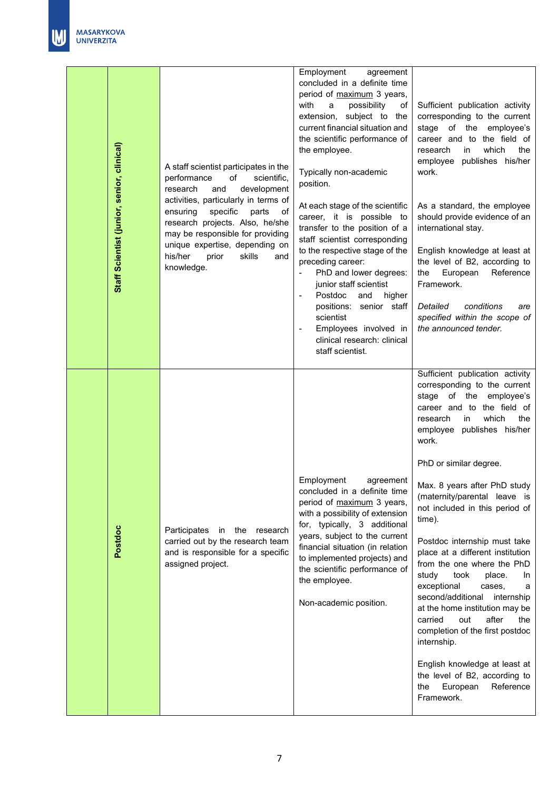| Staff Scientist (junior, senior, clinical) | A staff scientist participates in the<br>scientific,<br>performance<br>of<br>development<br>research<br>and<br>activities, particularly in terms of<br>specific<br>ensuring<br>parts<br>οf<br>research projects. Also, he/she<br>may be responsible for providing<br>unique expertise, depending on<br>his/her<br>skills<br>prior<br>and<br>knowledge. | Employment<br>agreement<br>concluded in a definite time<br>period of maximum 3 years,<br>possibility<br>with<br>a<br>оf<br>extension, subject to the<br>current financial situation and<br>the scientific performance of<br>the employee.<br>Typically non-academic<br>position.<br>At each stage of the scientific<br>career, it is possible to<br>transfer to the position of a<br>staff scientist corresponding<br>to the respective stage of the<br>preceding career:<br>PhD and lower degrees:<br>junior staff scientist<br>Postdoc<br>and<br>higher<br>$\overline{\phantom{a}}$<br>positions: senior staff<br>scientist<br>Employees involved in<br>clinical research: clinical<br>staff scientist. | Sufficient publication activity<br>corresponding to the current<br>stage of the<br>employee's<br>career and to the field of<br>which<br>the<br>research<br>in<br>employee publishes his/her<br>work.<br>As a standard, the employee<br>should provide evidence of an<br>international stay.<br>English knowledge at least at<br>the level of B2, according to<br>European<br>Reference<br>the<br>Framework.<br>conditions<br>Detailed<br>are<br>specified within the scope of<br>the announced tender.                                                                                                                                                                                                                                                                                |
|--------------------------------------------|--------------------------------------------------------------------------------------------------------------------------------------------------------------------------------------------------------------------------------------------------------------------------------------------------------------------------------------------------------|-----------------------------------------------------------------------------------------------------------------------------------------------------------------------------------------------------------------------------------------------------------------------------------------------------------------------------------------------------------------------------------------------------------------------------------------------------------------------------------------------------------------------------------------------------------------------------------------------------------------------------------------------------------------------------------------------------------|---------------------------------------------------------------------------------------------------------------------------------------------------------------------------------------------------------------------------------------------------------------------------------------------------------------------------------------------------------------------------------------------------------------------------------------------------------------------------------------------------------------------------------------------------------------------------------------------------------------------------------------------------------------------------------------------------------------------------------------------------------------------------------------|
| Postdoc                                    | Participates<br>in the<br>research<br>carried out by the research team<br>and is responsible for a specific<br>assigned project.                                                                                                                                                                                                                       | Employment<br>agreement<br>concluded in a definite time<br>period of maximum 3 years,<br>with a possibility of extension<br>for, typically, 3 additional<br>years, subject to the current<br>financial situation (in relation<br>to implemented projects) and<br>the scientific performance of<br>the employee.<br>Non-academic position.                                                                                                                                                                                                                                                                                                                                                                 | Sufficient publication activity<br>corresponding to the current<br>stage of the<br>employee's<br>career and to the field of<br>which<br>the<br>research<br>in.<br>publishes his/her<br>employee<br>work.<br>PhD or similar degree.<br>Max. 8 years after PhD study<br>(maternity/parental leave is<br>not included in this period of<br>time).<br>Postdoc internship must take<br>place at a different institution<br>from the one where the PhD<br>study<br>took<br>place.<br>In<br>exceptional<br>cases,<br>a<br>second/additional internship<br>at the home institution may be<br>carried<br>out<br>after<br>the<br>completion of the first postdoc<br>internship.<br>English knowledge at least at<br>the level of B2, according to<br>European<br>Reference<br>the<br>Framework. |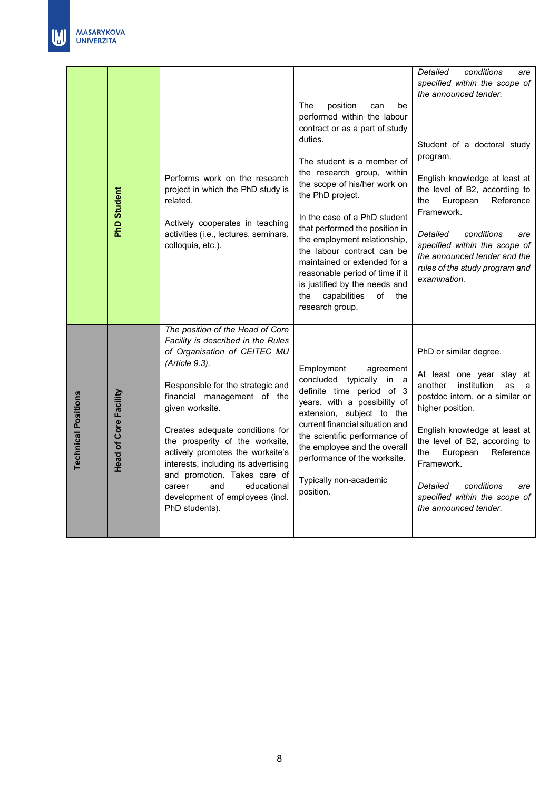|                            |                              |                                                                                                                                                                                                                                                                                                                                                                                                                                                                                        |                                                                                                                                                                                                                                                                                                                                                                                                                                                                                                                     | Detailed<br>conditions<br>are<br>specified within the scope of<br>the announced tender.                                                                                                                                                                                                                                                                    |
|----------------------------|------------------------------|----------------------------------------------------------------------------------------------------------------------------------------------------------------------------------------------------------------------------------------------------------------------------------------------------------------------------------------------------------------------------------------------------------------------------------------------------------------------------------------|---------------------------------------------------------------------------------------------------------------------------------------------------------------------------------------------------------------------------------------------------------------------------------------------------------------------------------------------------------------------------------------------------------------------------------------------------------------------------------------------------------------------|------------------------------------------------------------------------------------------------------------------------------------------------------------------------------------------------------------------------------------------------------------------------------------------------------------------------------------------------------------|
|                            | <b>PhD Student</b>           | Performs work on the research<br>project in which the PhD study is<br>related.<br>Actively cooperates in teaching<br>activities (i.e., lectures, seminars,<br>colloquia, etc.).                                                                                                                                                                                                                                                                                                        | position<br>The<br>be<br>can<br>performed within the labour<br>contract or as a part of study<br>duties.<br>The student is a member of<br>the research group, within<br>the scope of his/her work on<br>the PhD project.<br>In the case of a PhD student<br>that performed the position in<br>the employment relationship,<br>the labour contract can be<br>maintained or extended for a<br>reasonable period of time if it<br>is justified by the needs and<br>capabilities<br>of<br>the<br>the<br>research group. | Student of a doctoral study<br>program.<br>English knowledge at least at<br>the level of B2, according to<br>European<br>Reference<br>the<br>Framework.<br>Detailed<br>conditions<br>are<br>specified within the scope of<br>the announced tender and the<br>rules of the study program and<br>examination.                                                |
| <b>Technical Positions</b> | <b>Head of Core Facility</b> | The position of the Head of Core<br>Facility is described in the Rules<br>of Organisation of CEITEC MU<br>(Article 9.3).<br>Responsible for the strategic and<br>financial management of the<br>given worksite.<br>Creates adequate conditions for<br>the prosperity of the worksite,<br>actively promotes the worksite's<br>interests, including its advertising<br>and promotion. Takes care of<br>and<br>educational<br>career<br>development of employees (incl.<br>PhD students). | Employment<br>agreement<br>concluded typically in a<br>definite time period of 3<br>years, with a possibility of<br>extension, subject to the<br>current financial situation and<br>the scientific performance of<br>the employee and the overall<br>performance of the worksite.<br>Typically non-academic<br>position.                                                                                                                                                                                            | PhD or similar degree.<br>At least one year stay at<br>another<br>institution<br>as<br>a<br>postdoc intern, or a similar or<br>higher position.<br>English knowledge at least at<br>the level of B2, according to<br>the<br>European<br>Reference<br>Framework.<br>Detailed<br>conditions<br>are<br>specified within the scope of<br>the announced tender. |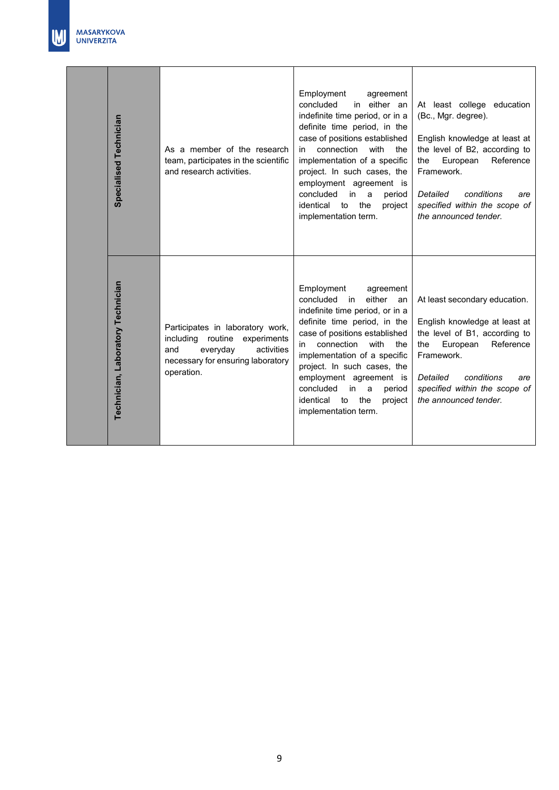| Specialised Technician            | As a member of the research<br>team, participates in the scientific<br>and research activities.                                                             | Employment<br>agreement<br>concluded<br>in either an<br>indefinite time period, or in a<br>definite time period, in the<br>case of positions established<br>connection<br>with<br>the<br>in<br>implementation of a specific<br>project. In such cases, the<br>employment agreement is<br>concluded<br>in<br>period<br>a<br>identical<br>the<br>project<br>to<br>implementation term.           | At least college education<br>(Bc., Mgr. degree).<br>English knowledge at least at<br>the level of B2, according to<br>Reference<br>European<br>the<br>Framework.<br>Detailed<br>conditions<br>are<br>specified within the scope of<br>the announced tender. |
|-----------------------------------|-------------------------------------------------------------------------------------------------------------------------------------------------------------|------------------------------------------------------------------------------------------------------------------------------------------------------------------------------------------------------------------------------------------------------------------------------------------------------------------------------------------------------------------------------------------------|--------------------------------------------------------------------------------------------------------------------------------------------------------------------------------------------------------------------------------------------------------------|
| Technician, Laboratory Technician | Participates in laboratory work,<br>including<br>routine<br>experiments<br>everyday<br>activities<br>and<br>necessary for ensuring laboratory<br>operation. | Employment<br>agreement<br>concluded<br>either<br>in in<br>an<br>indefinite time period, or in a<br>definite time period, in the<br>case of positions established<br>connection<br>with<br>the<br>in.<br>implementation of a specific<br>project. In such cases, the<br>employment agreement is<br>concluded<br>in<br>period<br>a<br>identical<br>the<br>project<br>to<br>implementation term. | At least secondary education.<br>English knowledge at least at<br>the level of B1, according to<br>European<br>Reference<br>the<br>Framework.<br>conditions<br>Detailed<br>are<br>specified within the scope of<br>the announced tender.                     |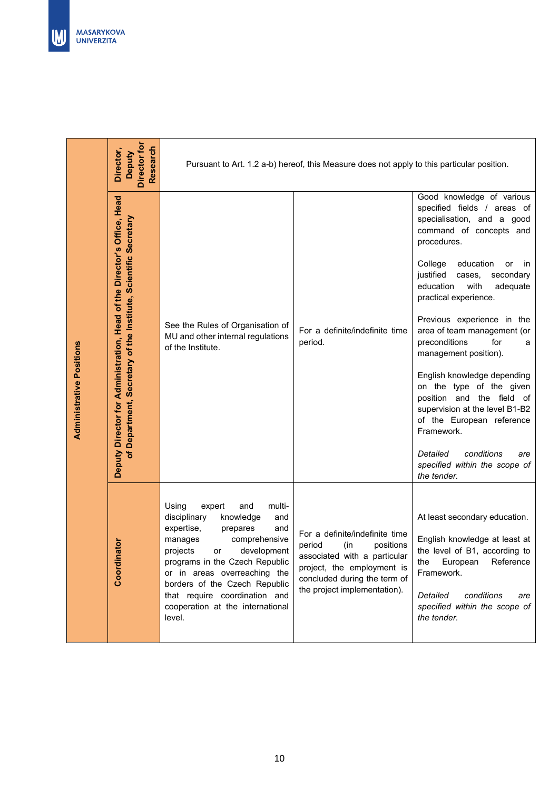| <b>inator</b><br>Coordi                                                                                                                                                                                                                                                                                                                              | Deputy Director for Administration, Head of the Director's Office, Head<br><b>Administrative Positions</b>                                                                                                                                                                                                                                                                                                                                                                                                                                                                                                                                  | Director,                                                                                  |
|------------------------------------------------------------------------------------------------------------------------------------------------------------------------------------------------------------------------------------------------------------------------------------------------------------------------------------------------------|---------------------------------------------------------------------------------------------------------------------------------------------------------------------------------------------------------------------------------------------------------------------------------------------------------------------------------------------------------------------------------------------------------------------------------------------------------------------------------------------------------------------------------------------------------------------------------------------------------------------------------------------|--------------------------------------------------------------------------------------------|
|                                                                                                                                                                                                                                                                                                                                                      | of Department, Secretary of the Institute, Scientific Secretary                                                                                                                                                                                                                                                                                                                                                                                                                                                                                                                                                                             | Director for<br>Research<br>Deputy                                                         |
| Using<br>multi-<br>expert<br>and<br>disciplinary<br>knowledge<br>and<br>expertise,<br>and<br>prepares<br>comprehensive<br>manages<br>projects<br>development<br>or<br>programs in the Czech Republic<br>or in areas overreaching the<br>borders of the Czech Republic<br>that require coordination and<br>cooperation at the international<br>level. | See the Rules of Organisation of<br>MU and other internal regulations<br>of the Institute.                                                                                                                                                                                                                                                                                                                                                                                                                                                                                                                                                  |                                                                                            |
| For a definite/indefinite time<br>period<br>positions<br>(in<br>associated with a particular<br>project, the employment is<br>concluded during the term of<br>the project implementation).                                                                                                                                                           | For a definite/indefinite time<br>period.                                                                                                                                                                                                                                                                                                                                                                                                                                                                                                                                                                                                   | Pursuant to Art. 1.2 a-b) hereof, this Measure does not apply to this particular position. |
| At least secondary education.<br>English knowledge at least at<br>the level of B1, according to<br>the<br>European<br>Reference<br>Framework.<br>Detailed<br>conditions<br>are<br>specified within the scope of<br>the tender.                                                                                                                       | Good knowledge of various<br>specified fields / areas of<br>specialisation, and a good<br>command of concepts and<br>procedures.<br>College<br>education<br>or<br>in<br>justified<br>cases,<br>secondary<br>education<br>with<br>adequate<br>practical experience.<br>Previous experience in the<br>area of team management (or<br>preconditions<br>for<br>a<br>management position).<br>English knowledge depending<br>on the type of the given<br>position and the field of<br>supervision at the level B1-B2<br>of the European reference<br>Framework.<br>Detailed<br>conditions<br>are<br>specified within the scope of<br>the tender. |                                                                                            |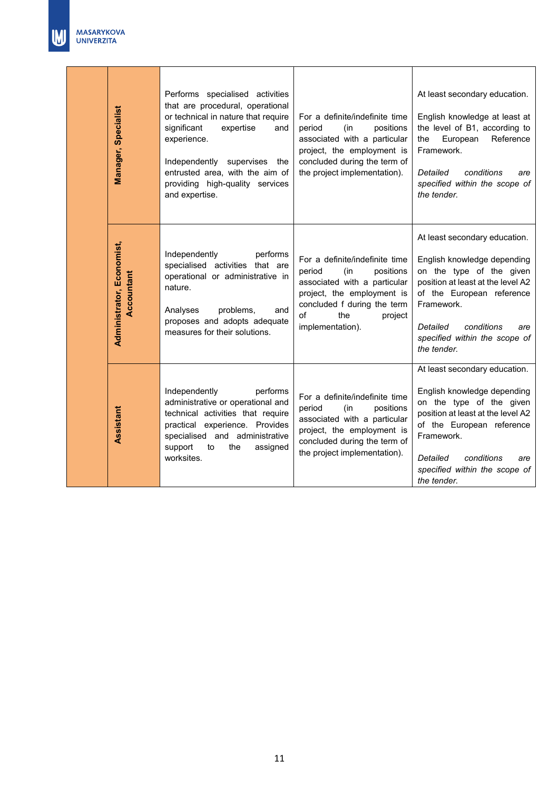|  | Manager, Specialist                            | Performs specialised activities<br>that are procedural, operational<br>or technical in nature that require<br>significant<br>expertise<br>and<br>experience.<br>Independently supervises<br>the<br>entrusted area, with the aim of<br>providing high-quality services<br>and expertise. | For a definite/indefinite time<br>period<br>(in<br>positions<br>associated with a particular<br>project, the employment is<br>concluded during the term of<br>the project implementation).            | At least secondary education.<br>English knowledge at least at<br>the level of B1, according to<br>European<br>Reference<br>the<br>Framework.<br>Detailed<br>conditions<br>are<br>specified within the scope of<br>the tender.                            |
|--|------------------------------------------------|-----------------------------------------------------------------------------------------------------------------------------------------------------------------------------------------------------------------------------------------------------------------------------------------|-------------------------------------------------------------------------------------------------------------------------------------------------------------------------------------------------------|-----------------------------------------------------------------------------------------------------------------------------------------------------------------------------------------------------------------------------------------------------------|
|  | <b>Administrator, Economist,</b><br>Accountant | Independently<br>performs<br>specialised activities that are<br>operational or administrative in<br>nature.<br>Analyses<br>problems,<br>and<br>proposes and adopts adequate<br>measures for their solutions.                                                                            | For a definite/indefinite time<br>period<br>(in<br>positions<br>associated with a particular<br>project, the employment is<br>concluded f during the term<br>of<br>the<br>project<br>implementation). | At least secondary education.<br>English knowledge depending<br>on the type of the given<br>position at least at the level A2<br>of the European reference<br>Framework.<br>Detailed<br>conditions<br>are<br>specified within the scope of<br>the tender. |
|  | Assistant                                      | Independently<br>performs<br>administrative or operational and<br>technical activities that require<br>practical experience. Provides<br>specialised and administrative<br>support<br>to<br>the<br>assigned<br>worksites.                                                               | For a definite/indefinite time<br>period<br>(in<br>positions<br>associated with a particular<br>project, the employment is<br>concluded during the term of<br>the project implementation).            | At least secondary education.<br>English knowledge depending<br>on the type of the given<br>position at least at the level A2<br>of the European reference<br>Framework.<br>Detailed<br>conditions<br>are<br>specified within the scope of<br>the tender. |